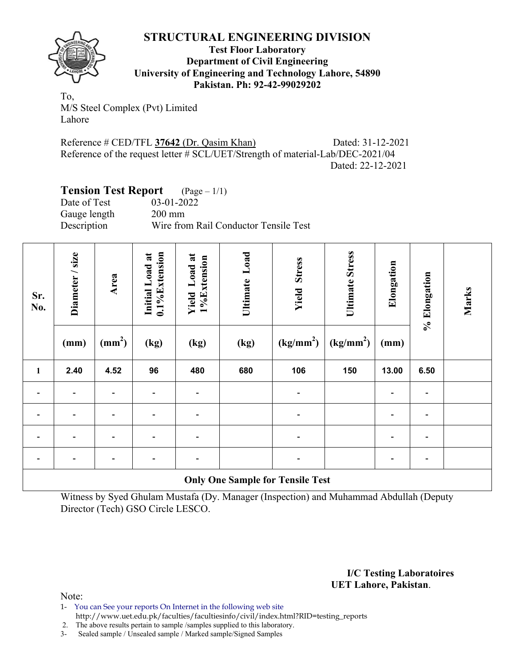

**Test Floor Laboratory Department of Civil Engineering University of Engineering and Technology Lahore, 54890 Pakistan. Ph: 92-42-99029202** 

To, M/S Steel Complex (Pvt) Limited Lahore

Reference # CED/TFL **37642** (Dr. Qasim Khan) Dated: 31-12-2021 Reference of the request letter # SCL/UET/Strength of material-Lab/DEC-2021/04 Dated: 22-12-2021

# **Tension Test Report** (Page – 1/1)

Date of Test 03-01-2022 Gauge length 200 mm Description Wire from Rail Conductor Tensile Test

| Sr.<br>No. | Diameter / size          | Area                     | 0.1%Extension<br>Initial Load at | Load at<br>1%Extension<br>Yield | Load<br>Ultimate                        | <b>Yield Stress</b>   | <b>Ultimate Stress</b> | Elongation     | % Elongation             | Marks |
|------------|--------------------------|--------------------------|----------------------------------|---------------------------------|-----------------------------------------|-----------------------|------------------------|----------------|--------------------------|-------|
|            | (mm)                     | $\text{m}^2$             | (kg)                             | (kg)                            | (kg)                                    | (kg/mm <sup>2</sup> ) | (kg/mm <sup>2</sup> )  | (mm)           |                          |       |
| 1          | 2.40                     | 4.52                     | 96                               | 480                             | 680                                     | 106                   | 150                    | 13.00          | 6.50                     |       |
|            |                          |                          |                                  |                                 |                                         |                       |                        |                | $\overline{\phantom{a}}$ |       |
|            |                          |                          |                                  |                                 |                                         |                       |                        |                | $\overline{\phantom{0}}$ |       |
|            |                          | $\overline{\phantom{0}}$ | $\overline{\phantom{0}}$         |                                 |                                         |                       |                        | $\overline{a}$ | $\overline{\phantom{a}}$ |       |
|            | $\overline{\phantom{0}}$ | $\overline{\phantom{0}}$ | -                                |                                 |                                         |                       |                        |                | $\blacksquare$           |       |
|            |                          |                          |                                  |                                 | <b>Only One Sample for Tensile Test</b> |                       |                        |                |                          |       |

Witness by Syed Ghulam Mustafa (Dy. Manager (Inspection) and Muhammad Abdullah (Deputy Director (Tech) GSO Circle LESCO.

> **I/C Testing Laboratoires UET Lahore, Pakistan**.

Note:

- 1- You can See your reports On Internet in the following web site http://www.uet.edu.pk/faculties/facultiesinfo/civil/index.html?RID=testing\_reports
- 2. The above results pertain to sample /samples supplied to this laboratory.
- 3- Sealed sample / Unsealed sample / Marked sample/Signed Samples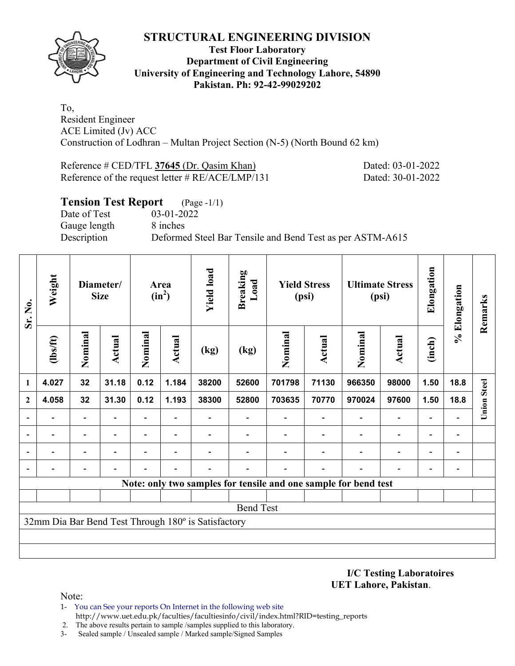

### **Test Floor Laboratory Department of Civil Engineering University of Engineering and Technology Lahore, 54890 Pakistan. Ph: 92-42-99029202**

To, Resident Engineer ACE Limited (Jv) ACC Construction of Lodhran – Multan Project Section (N-5) (North Bound 62 km)

Reference # CED/TFL **37645** (Dr. Qasim Khan) Dated: 03-01-2022 Reference of the request letter # RE/ACE/LMP/131 Dated: 30-01-2022

| <b>Tension Test Report</b> (Page -1/1) |                                                           |
|----------------------------------------|-----------------------------------------------------------|
| Date of Test                           | 03-01-2022                                                |
| Gauge length                           | 8 inches                                                  |
| Description                            | Deformed Steel Bar Tensile and Bend Test as per ASTM-A615 |

| Sr. No.      | Weight  |                          | Diameter/<br><b>Size</b> |                          | Area<br>$(in^2)$         |                                                     | <b>Yield load</b><br><b>Breaking</b><br>Load |                                                                 |               | <b>Yield Stress</b><br>(psi) |                          | <b>Ultimate Stress</b><br>(psi) |                              | Elongation         | % Elongation | Remarks |
|--------------|---------|--------------------------|--------------------------|--------------------------|--------------------------|-----------------------------------------------------|----------------------------------------------|-----------------------------------------------------------------|---------------|------------------------------|--------------------------|---------------------------------|------------------------------|--------------------|--------------|---------|
|              | $lbsft$ | Nominal                  | Actual                   | Nominal                  | Actual                   | (kg)                                                | (kg)                                         | Nominal                                                         | <b>Actual</b> | Nominal                      | Actual                   | (inch)                          |                              |                    |              |         |
| 1            | 4.027   | 32                       | 31.18                    | 0.12                     | 1.184                    | 38200                                               | 52600                                        | 701798                                                          | 71130         | 966350                       | 98000                    | 1.50                            | 18.8                         |                    |              |         |
| $\mathbf{2}$ | 4.058   | 32                       | 31.30                    | 0.12                     | 1.193                    | 38300                                               | 52800                                        | 703635                                                          | 70770         | 970024                       | 97600                    | 1.50                            | 18.8                         | <b>Union Steel</b> |              |         |
|              |         | $\overline{a}$           |                          | Ξ.                       |                          |                                                     |                                              |                                                                 |               |                              | $\qquad \qquad -$        | $\overline{\phantom{a}}$        |                              |                    |              |         |
|              |         | $\overline{\phantom{0}}$ |                          | $\overline{\phantom{0}}$ | $\overline{\phantom{0}}$ |                                                     |                                              |                                                                 |               | $\overline{\phantom{0}}$     | $\overline{\phantom{0}}$ | $\overline{\phantom{a}}$        | $\qquad \qquad \blacksquare$ |                    |              |         |
|              |         |                          |                          |                          |                          |                                                     |                                              |                                                                 |               |                              | $\qquad \qquad -$        | $\overline{\phantom{a}}$        | $\overline{\phantom{0}}$     |                    |              |         |
|              |         |                          |                          |                          |                          |                                                     |                                              |                                                                 |               |                              |                          |                                 |                              |                    |              |         |
|              |         |                          |                          |                          |                          |                                                     |                                              | Note: only two samples for tensile and one sample for bend test |               |                              |                          |                                 |                              |                    |              |         |
|              |         |                          |                          |                          |                          |                                                     |                                              |                                                                 |               |                              |                          |                                 |                              |                    |              |         |
|              |         |                          |                          |                          |                          |                                                     | <b>Bend Test</b>                             |                                                                 |               |                              |                          |                                 |                              |                    |              |         |
|              |         |                          |                          |                          |                          | 32mm Dia Bar Bend Test Through 180° is Satisfactory |                                              |                                                                 |               |                              |                          |                                 |                              |                    |              |         |
|              |         |                          |                          |                          |                          |                                                     |                                              |                                                                 |               |                              |                          |                                 |                              |                    |              |         |
|              |         |                          |                          |                          |                          |                                                     |                                              |                                                                 |               |                              |                          |                                 |                              |                    |              |         |

**I/C Testing Laboratoires UET Lahore, Pakistan**.

Note:

- 1- You can See your reports On Internet in the following web site http://www.uet.edu.pk/faculties/facultiesinfo/civil/index.html?RID=testing\_reports
- 2. The above results pertain to sample /samples supplied to this laboratory.
- 3- Sealed sample / Unsealed sample / Marked sample/Signed Samples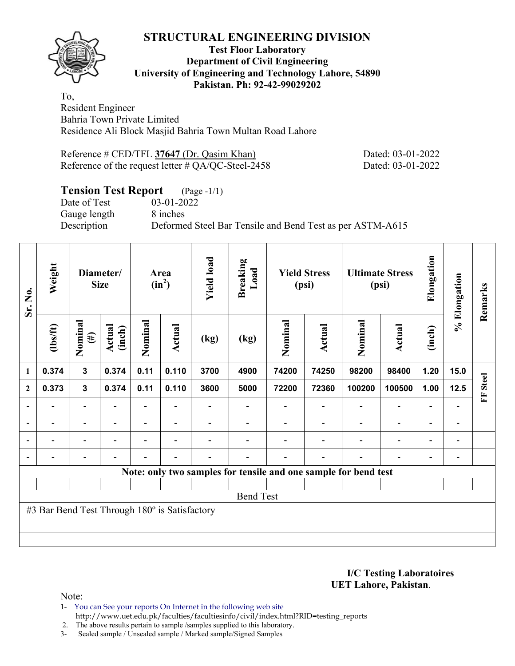### **Test Floor Laboratory Department of Civil Engineering University of Engineering and Technology Lahore, 54890 Pakistan. Ph: 92-42-99029202**

To, Resident Engineer Bahria Town Private Limited Residence Ali Block Masjid Bahria Town Multan Road Lahore

Reference # CED/TFL 37647 (Dr. Qasim Khan) Dated: 03-01-2022 Reference of the request letter # QA/QC-Steel-2458 Dated: 03-01-2022

## **Tension Test Report** (Page -1/1)

Date of Test 03-01-2022 Gauge length 8 inches

Description Deformed Steel Bar Tensile and Bend Test as per ASTM-A615

| Sr. No.        | Weight                                        | Diameter/<br><b>Size</b> |                          |         |                          | Area<br>$(in^2)$         |                                                                 | <b>Yield load</b> | <b>Breaking</b><br>Load  | <b>Yield Stress</b><br>(psi) |                          | <b>Ultimate Stress</b><br>(psi) |                              | Elongation | % Elongation | Remarks |
|----------------|-----------------------------------------------|--------------------------|--------------------------|---------|--------------------------|--------------------------|-----------------------------------------------------------------|-------------------|--------------------------|------------------------------|--------------------------|---------------------------------|------------------------------|------------|--------------|---------|
|                | $\frac{2}{10}$                                | Nominal<br>$(\#)$        | Actual<br>(inch)         | Nominal | Actual                   | (kg)                     | (kg)                                                            | Nominal           | <b>Actual</b>            | Nominal                      | Actual                   | (inch)                          |                              |            |              |         |
| 1              | 0.374                                         | $\mathbf{3}$             | 0.374                    | 0.11    | 0.110                    | 3700                     | 4900                                                            | 74200             | 74250                    | 98200                        | 98400                    | 1.20                            | 15.0                         |            |              |         |
| $\mathbf{2}$   | 0.373                                         | $\mathbf{3}$             | 0.374                    | 0.11    | 0.110                    | 3600                     | 5000                                                            | 72200             | 72360                    | 100200                       | 100500                   | 1.00                            | 12.5                         | FF Steel   |              |         |
|                |                                               | $\overline{\phantom{0}}$ |                          |         |                          |                          |                                                                 |                   |                          |                              | $\overline{\phantom{a}}$ | $\overline{\phantom{0}}$        |                              |            |              |         |
| $\overline{a}$ | -                                             | $\overline{\phantom{a}}$ |                          |         | $\overline{\phantom{a}}$ |                          |                                                                 |                   |                          | $\overline{\phantom{0}}$     | $\overline{\phantom{a}}$ | Ξ.                              | $\qquad \qquad \blacksquare$ |            |              |         |
| $\overline{a}$ |                                               | $\overline{\phantom{a}}$ | $\overline{\phantom{0}}$ |         | $\blacksquare$           |                          |                                                                 |                   | ۰                        | $\overline{\phantom{0}}$     | $\overline{\phantom{a}}$ | $\overline{\phantom{a}}$        | $\overline{\phantom{a}}$     |            |              |         |
|                | $\overline{\phantom{0}}$                      | $\qquad \qquad -$        |                          | ۳       | $\blacksquare$           | $\overline{\phantom{0}}$ |                                                                 |                   | $\overline{\phantom{0}}$ | $\overline{\phantom{0}}$     | $\overline{\phantom{a}}$ | $\overline{\phantom{a}}$        | $\overline{\phantom{a}}$     |            |              |         |
|                |                                               |                          |                          |         |                          |                          | Note: only two samples for tensile and one sample for bend test |                   |                          |                              |                          |                                 |                              |            |              |         |
|                |                                               |                          |                          |         |                          |                          |                                                                 |                   |                          |                              |                          |                                 |                              |            |              |         |
|                |                                               |                          |                          |         |                          |                          | <b>Bend Test</b>                                                |                   |                          |                              |                          |                                 |                              |            |              |         |
|                | #3 Bar Bend Test Through 180° is Satisfactory |                          |                          |         |                          |                          |                                                                 |                   |                          |                              |                          |                                 |                              |            |              |         |
|                |                                               |                          |                          |         |                          |                          |                                                                 |                   |                          |                              |                          |                                 |                              |            |              |         |
|                |                                               |                          |                          |         |                          |                          |                                                                 |                   |                          |                              |                          |                                 |                              |            |              |         |

**I/C Testing Laboratoires UET Lahore, Pakistan**.

Note:

1- You can See your reports On Internet in the following web site http://www.uet.edu.pk/faculties/facultiesinfo/civil/index.html?RID=testing\_reports

2. The above results pertain to sample /samples supplied to this laboratory.

3- Sealed sample / Unsealed sample / Marked sample/Signed Samples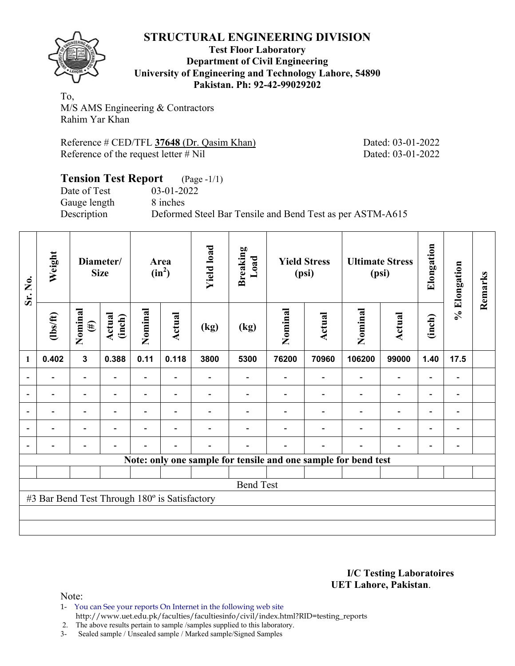

#### **Test Floor Laboratory Department of Civil Engineering University of Engineering and Technology Lahore, 54890 Pakistan. Ph: 92-42-99029202**

To, M/S AMS Engineering & Contractors Rahim Yar Khan

Reference # CED/TFL **37648** (Dr. Qasim Khan) Dated: 03-01-2022 Reference of the request letter # Nil Dated: 03-01-2022

### **Tension Test Report** (Page -1/1) Date of Test 03-01-2022<br>Gauge length 8 inches Gauge length Description Deformed Steel Bar Tensile and Bend Test as per ASTM-A615

| Sr. No.        | Weight<br><b>Size</b>                         |                          |                  |                | Diameter/      |      |                  |         |               |                                                                |                          |                |                              |  |  |  |  |  |  |  |  |  |  |  | Area<br>$(in^2)$ |  | <b>Yield load</b> | <b>Breaking</b><br>Load | <b>Yield Stress</b><br>(psi) |  | <b>Ultimate Stress</b><br>(psi) |  | Elongation | % Elongation | Remarks |
|----------------|-----------------------------------------------|--------------------------|------------------|----------------|----------------|------|------------------|---------|---------------|----------------------------------------------------------------|--------------------------|----------------|------------------------------|--|--|--|--|--|--|--|--|--|--|--|------------------|--|-------------------|-------------------------|------------------------------|--|---------------------------------|--|------------|--------------|---------|
|                | $\frac{2}{10}$                                | Nominal<br>$(\#)$        | Actual<br>(inch) | Nominal        | <b>Actual</b>  | (kg) | (kg)             | Nominal | <b>Actual</b> | Nominal                                                        | <b>Actual</b>            | (inch)         |                              |  |  |  |  |  |  |  |  |  |  |  |                  |  |                   |                         |                              |  |                                 |  |            |              |         |
| $\mathbf{1}$   | 0.402                                         | $\mathbf{3}$             | 0.388            | 0.11           | 0.118          | 3800 | 5300             | 76200   | 70960         | 106200                                                         | 99000                    | 1.40           | 17.5                         |  |  |  |  |  |  |  |  |  |  |  |                  |  |                   |                         |                              |  |                                 |  |            |              |         |
| $\overline{a}$ | $\overline{\phantom{0}}$                      | $\overline{\phantom{0}}$ |                  | Ξ.             |                |      |                  |         |               |                                                                | $\blacksquare$           |                | $\qquad \qquad \blacksquare$ |  |  |  |  |  |  |  |  |  |  |  |                  |  |                   |                         |                              |  |                                 |  |            |              |         |
|                |                                               |                          |                  | -              |                |      |                  |         |               |                                                                | $\overline{\phantom{0}}$ |                | $\qquad \qquad \blacksquare$ |  |  |  |  |  |  |  |  |  |  |  |                  |  |                   |                         |                              |  |                                 |  |            |              |         |
| $\overline{a}$ |                                               |                          |                  |                | $\blacksquare$ |      |                  |         |               |                                                                |                          |                | $\blacksquare$               |  |  |  |  |  |  |  |  |  |  |  |                  |  |                   |                         |                              |  |                                 |  |            |              |         |
| $\blacksquare$ | $\overline{\phantom{a}}$                      | $\overline{\phantom{0}}$ | $\blacksquare$   | $\blacksquare$ | $\blacksquare$ |      |                  |         |               | $\blacksquare$                                                 | $\overline{\phantom{a}}$ | $\blacksquare$ | $\overline{\phantom{a}}$     |  |  |  |  |  |  |  |  |  |  |  |                  |  |                   |                         |                              |  |                                 |  |            |              |         |
| $\blacksquare$ | -                                             | $\overline{\phantom{0}}$ |                  |                | $\blacksquare$ |      |                  |         |               |                                                                | ۰                        | $\blacksquare$ | $\overline{\phantom{0}}$     |  |  |  |  |  |  |  |  |  |  |  |                  |  |                   |                         |                              |  |                                 |  |            |              |         |
|                |                                               |                          |                  |                |                |      |                  |         |               | Note: only one sample for tensile and one sample for bend test |                          |                |                              |  |  |  |  |  |  |  |  |  |  |  |                  |  |                   |                         |                              |  |                                 |  |            |              |         |
|                |                                               |                          |                  |                |                |      |                  |         |               |                                                                |                          |                |                              |  |  |  |  |  |  |  |  |  |  |  |                  |  |                   |                         |                              |  |                                 |  |            |              |         |
|                |                                               |                          |                  |                |                |      | <b>Bend Test</b> |         |               |                                                                |                          |                |                              |  |  |  |  |  |  |  |  |  |  |  |                  |  |                   |                         |                              |  |                                 |  |            |              |         |
|                | #3 Bar Bend Test Through 180° is Satisfactory |                          |                  |                |                |      |                  |         |               |                                                                |                          |                |                              |  |  |  |  |  |  |  |  |  |  |  |                  |  |                   |                         |                              |  |                                 |  |            |              |         |
|                |                                               |                          |                  |                |                |      |                  |         |               |                                                                |                          |                |                              |  |  |  |  |  |  |  |  |  |  |  |                  |  |                   |                         |                              |  |                                 |  |            |              |         |
|                |                                               |                          |                  |                |                |      |                  |         |               |                                                                |                          |                |                              |  |  |  |  |  |  |  |  |  |  |  |                  |  |                   |                         |                              |  |                                 |  |            |              |         |

#### **I/C Testing Laboratoires UET Lahore, Pakistan**.

Note:

- 1- You can See your reports On Internet in the following web site http://www.uet.edu.pk/faculties/facultiesinfo/civil/index.html?RID=testing\_reports
- 2. The above results pertain to sample /samples supplied to this laboratory.
- 3- Sealed sample / Unsealed sample / Marked sample/Signed Samples